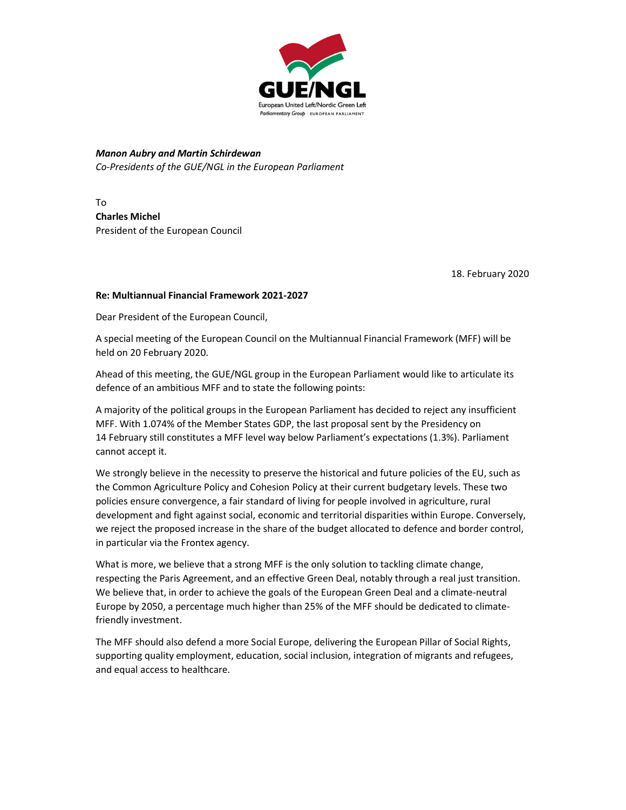

Manon Aubry and Martin Schirdewan Co-Presidents of the GUE/NGL in the European Parliament

To Charles Michel President of the European Council

18. February 2020

## Re: Multiannual Financial Framework 2021-2027

Dear President of the European Council,

A special meeting of the European Council on the Multiannual Financial Framework (MFF) will be held on 20 February 2020.

Ahead of this meeting, the GUE/NGL group in the European Parliament would like to articulate its defence of an ambitious MFF and to state the following points:

A majority of the political groups in the European Parliament has decided to reject any insufficient MFF. With 1.074% of the Member States GDP, the last proposal sent by the Presidency on 14 February still constitutes a MFF level way below Parliament's expectations (1.3%). Parliament cannot accept it.

We strongly believe in the necessity to preserve the historical and future policies of the EU, such as the Common Agriculture Policy and Cohesion Policy at their current budgetary levels. These two policies ensure convergence, a fair standard of living for people involved in agriculture, rural development and fight against social, economic and territorial disparities within Europe. Conversely, we reject the proposed increase in the share of the budget allocated to defence and border control, in particular via the Frontex agency.

What is more, we believe that a strong MFF is the only solution to tackling climate change, respecting the Paris Agreement, and an effective Green Deal, notably through a real just transition. We believe that, in order to achieve the goals of the European Green Deal and a climate-neutral Europe by 2050, a percentage much higher than 25% of the MFF should be dedicated to climatefriendly investment.

The MFF should also defend a more Social Europe, delivering the European Pillar of Social Rights, supporting quality employment, education, social inclusion, integration of migrants and refugees, and equal access to healthcare.